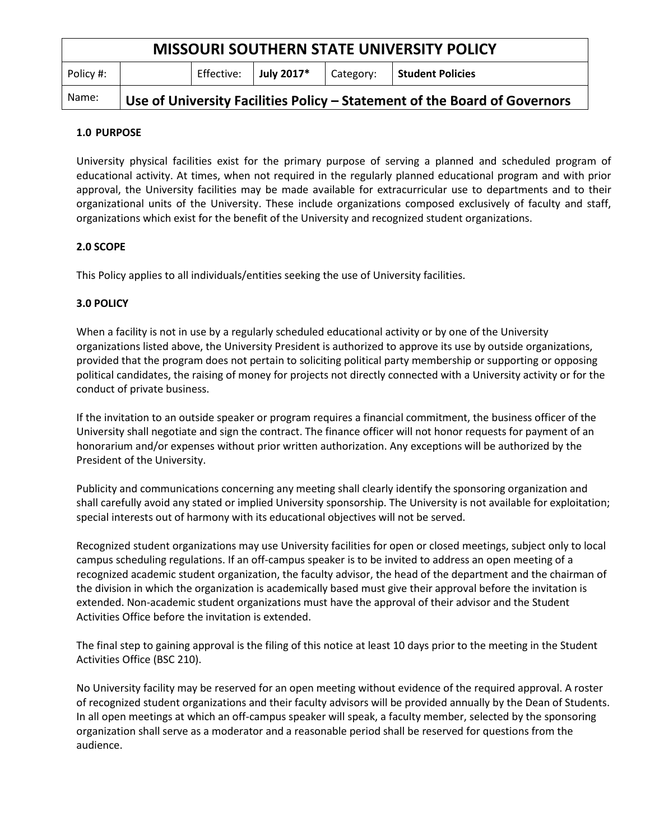| <b>MISSOURI SOUTHERN STATE UNIVERSITY POLICY</b> |                                                                           |            |            |           |                         |
|--------------------------------------------------|---------------------------------------------------------------------------|------------|------------|-----------|-------------------------|
| Policy #:                                        |                                                                           | Effective: | July 2017* | Category: | <b>Student Policies</b> |
| Name:                                            | Use of University Facilities Policy – Statement of the Board of Governors |            |            |           |                         |

# **1.0 PURPOSE**

University physical facilities exist for the primary purpose of serving a planned and scheduled program of educational activity. At times, when not required in the regularly planned educational program and with prior approval, the University facilities may be made available for extracurricular use to departments and to their organizational units of the University. These include organizations composed exclusively of faculty and staff, organizations which exist for the benefit of the University and recognized student organizations.

# **2.0 SCOPE**

This Policy applies to all individuals/entities seeking the use of University facilities.

### **3.0 POLICY**

When a facility is not in use by a regularly scheduled educational activity or by one of the University organizations listed above, the University President is authorized to approve its use by outside organizations, provided that the program does not pertain to soliciting political party membership or supporting or opposing political candidates, the raising of money for projects not directly connected with a University activity or for the conduct of private business.

If the invitation to an outside speaker or program requires a financial commitment, the business officer of the University shall negotiate and sign the contract. The finance officer will not honor requests for payment of an honorarium and/or expenses without prior written authorization. Any exceptions will be authorized by the President of the University.

Publicity and communications concerning any meeting shall clearly identify the sponsoring organization and shall carefully avoid any stated or implied University sponsorship. The University is not available for exploitation; special interests out of harmony with its educational objectives will not be served.

Recognized student organizations may use University facilities for open or closed meetings, subject only to local campus scheduling regulations. If an off-campus speaker is to be invited to address an open meeting of a recognized academic student organization, the faculty advisor, the head of the department and the chairman of the division in which the organization is academically based must give their approval before the invitation is extended. Non-academic student organizations must have the approval of their advisor and the Student Activities Office before the invitation is extended.

The final step to gaining approval is the filing of this notice at least 10 days prior to the meeting in the Student Activities Office (BSC 210).

No University facility may be reserved for an open meeting without evidence of the required approval. A roster of recognized student organizations and their faculty advisors will be provided annually by the Dean of Students. In all open meetings at which an off-campus speaker will speak, a faculty member, selected by the sponsoring organization shall serve as a moderator and a reasonable period shall be reserved for questions from the audience.